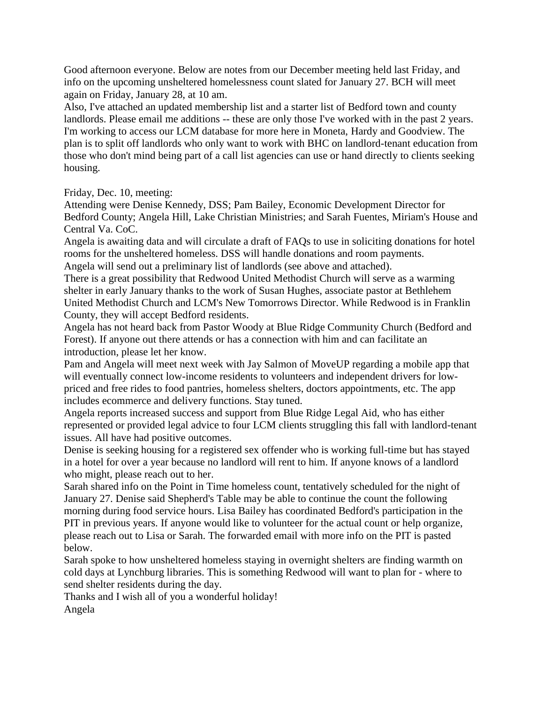Good afternoon everyone. Below are notes from our December meeting held last Friday, and info on the upcoming unsheltered homelessness count slated for January 27. BCH will meet again on Friday, January 28, at 10 am.

Also, I've attached an updated membership list and a starter list of Bedford town and county landlords. Please email me additions -- these are only those I've worked with in the past 2 years. I'm working to access our LCM database for more here in Moneta, Hardy and Goodview. The plan is to split off landlords who only want to work with BHC on landlord-tenant education from those who don't mind being part of a call list agencies can use or hand directly to clients seeking housing.

Friday, Dec. 10, meeting:

Attending were Denise Kennedy, DSS; Pam Bailey, Economic Development Director for Bedford County; Angela Hill, Lake Christian Ministries; and Sarah Fuentes, Miriam's House and Central Va. CoC.

Angela is awaiting data and will circulate a draft of FAQs to use in soliciting donations for hotel rooms for the unsheltered homeless. DSS will handle donations and room payments.

Angela will send out a preliminary list of landlords (see above and attached).

There is a great possibility that Redwood United Methodist Church will serve as a warming shelter in early January thanks to the work of Susan Hughes, associate pastor at Bethlehem United Methodist Church and LCM's New Tomorrows Director. While Redwood is in Franklin County, they will accept Bedford residents.

Angela has not heard back from Pastor Woody at Blue Ridge Community Church (Bedford and Forest). If anyone out there attends or has a connection with him and can facilitate an introduction, please let her know.

Pam and Angela will meet next week with Jay Salmon of MoveUP regarding a mobile app that will eventually connect low-income residents to volunteers and independent drivers for lowpriced and free rides to food pantries, homeless shelters, doctors appointments, etc. The app includes ecommerce and delivery functions. Stay tuned.

Angela reports increased success and support from Blue Ridge Legal Aid, who has either represented or provided legal advice to four LCM clients struggling this fall with landlord-tenant issues. All have had positive outcomes.

Denise is seeking housing for a registered sex offender who is working full-time but has stayed in a hotel for over a year because no landlord will rent to him. If anyone knows of a landlord who might, please reach out to her.

Sarah shared info on the Point in Time homeless count, tentatively scheduled for the night of January 27. Denise said Shepherd's Table may be able to continue the count the following morning during food service hours. Lisa Bailey has coordinated Bedford's participation in the PIT in previous years. If anyone would like to volunteer for the actual count or help organize, please reach out to Lisa or Sarah. The forwarded email with more info on the PIT is pasted below.

Sarah spoke to how unsheltered homeless staying in overnight shelters are finding warmth on cold days at Lynchburg libraries. This is something Redwood will want to plan for - where to send shelter residents during the day.

Thanks and I wish all of you a wonderful holiday!

Angela